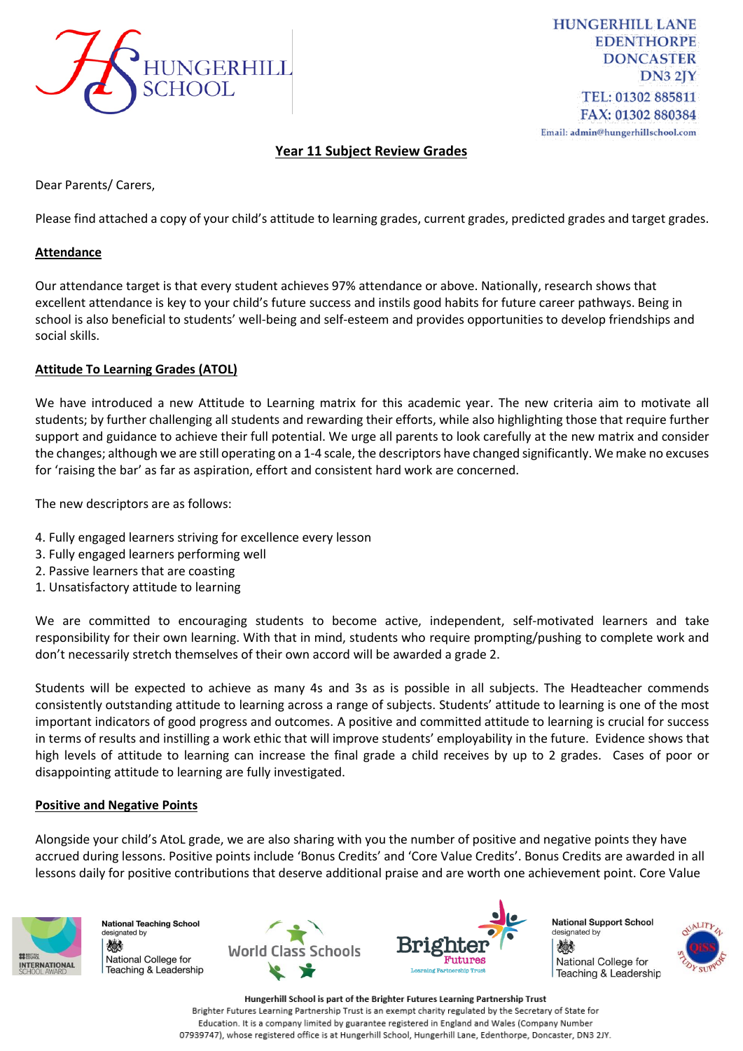

**HUNGERHILL LANE EDENTHORPE DONCASTER**  $DN32IY$ TEL: 01302 885811 FAX: 01302 880384 Email: admin@hungerhillschool.com

# **Year 11 Subject Review Grades**

Dear Parents/ Carers,

Please find attached a copy of your child's attitude to learning grades, current grades, predicted grades and target grades.

## **Attendance**

Our attendance target is that every student achieves 97% attendance or above. Nationally, research shows that excellent attendance is key to your child's future success and instils good habits for future career pathways. Being in school is also beneficial to students' well-being and self-esteem and provides opportunities to develop friendships and social skills.

## **Attitude To Learning Grades (ATOL)**

We have introduced a new Attitude to Learning matrix for this academic year. The new criteria aim to motivate all students; by further challenging all students and rewarding their efforts, while also highlighting those that require further support and guidance to achieve their full potential. We urge all parents to look carefully at the new matrix and consider the changes; although we are still operating on a 1-4 scale, the descriptors have changed significantly. We make no excuses for 'raising the bar' as far as aspiration, effort and consistent hard work are concerned.

The new descriptors are as follows:

- 4. Fully engaged learners striving for excellence every lesson
- 3. Fully engaged learners performing well
- 2. Passive learners that are coasting
- 1. Unsatisfactory attitude to learning

We are committed to encouraging students to become active, independent, self-motivated learners and take responsibility for their own learning. With that in mind, students who require prompting/pushing to complete work and don't necessarily stretch themselves of their own accord will be awarded a grade 2.

Students will be expected to achieve as many 4s and 3s as is possible in all subjects. The Headteacher commends consistently outstanding attitude to learning across a range of subjects. Students' attitude to learning is one of the most important indicators of good progress and outcomes. A positive and committed attitude to learning is crucial for success in terms of results and instilling a work ethic that will improve students' employability in the future. Evidence shows that high levels of attitude to learning can increase the final grade a child receives by up to 2 grades. Cases of poor or disappointing attitude to learning are fully investigated.

## **Positive and Negative Points**

Alongside your child's AtoL grade, we are also sharing with you the number of positive and negative points they have accrued during lessons. Positive points include 'Bonus Credits' and 'Core Value Credits'. Bonus Credits are awarded in all lessons daily for positive contributions that deserve additional praise and are worth one achievement point. Core Value



**National Teaching School** designated by 燃料 National College for Teaching & Leadership





**National Support School** designated by 燃 National College for Teaching & Leadership

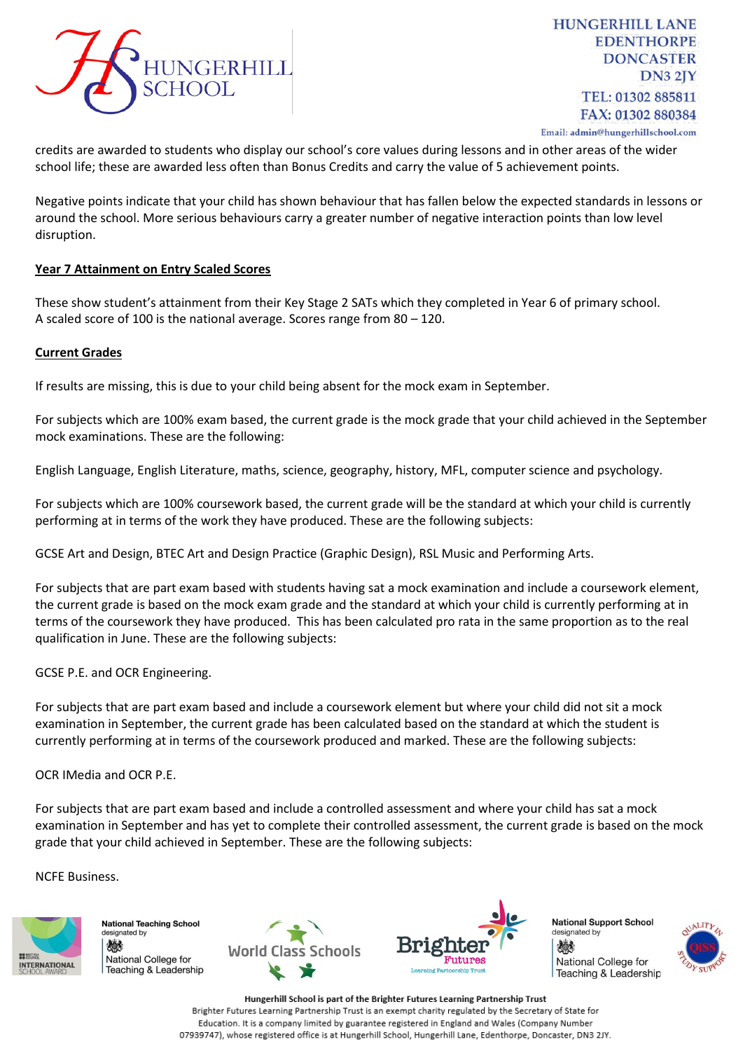

credits are awarded to students who display our school's core values during lessons and in other areas of the wider school life; these are awarded less often than Bonus Credits and carry the value of 5 achievement points.

Negative points indicate that your child has shown behaviour that has fallen below the expected standards in lessons or around the school. More serious behaviours carry a greater number of negative interaction points than low level disruption.

## **Year 7 Attainment on Entry Scaled Scores**

These show student's attainment from their Key Stage 2 SATs which they completed in Year 6 of primary school. A scaled score of 100 is the national average. Scores range from 80 – 120.

## **Current Grades**

If results are missing, this is due to your child being absent for the mock exam in September.

For subjects which are 100% exam based, the current grade is the mock grade that your child achieved in the September mock examinations. These are the following:

English Language, English Literature, maths, science, geography, history, MFL, computer science and psychology.

For subjects which are 100% coursework based, the current grade will be the standard at which your child is currently performing at in terms of the work they have produced. These are the following subjects:

GCSE Art and Design, BTEC Art and Design Practice (Graphic Design), RSL Music and Performing Arts.

For subjects that are part exam based with students having sat a mock examination and include a coursework element, the current grade is based on the mock exam grade and the standard at which your child is currently performing at in terms of the coursework they have produced. This has been calculated pro rata in the same proportion as to the real qualification in June. These are the following subjects:

GCSE P.E. and OCR Engineering.

For subjects that are part exam based and include a coursework element but where your child did not sit a mock examination in September, the current grade has been calculated based on the standard at which the student is currently performing at in terms of the coursework produced and marked. These are the following subjects:

OCR IMedia and OCR P.E.

For subjects that are part exam based and include a controlled assessment and where your child has sat a mock examination in September and has yet to complete their controlled assessment, the current grade is based on the mock grade that your child achieved in September. These are the following subjects:

NCFE Business.



**National Teaching School** designated by 燃 National College for Teaching & Leadership





**National Support School** designated by 燃 National College for Teaching & Leadership

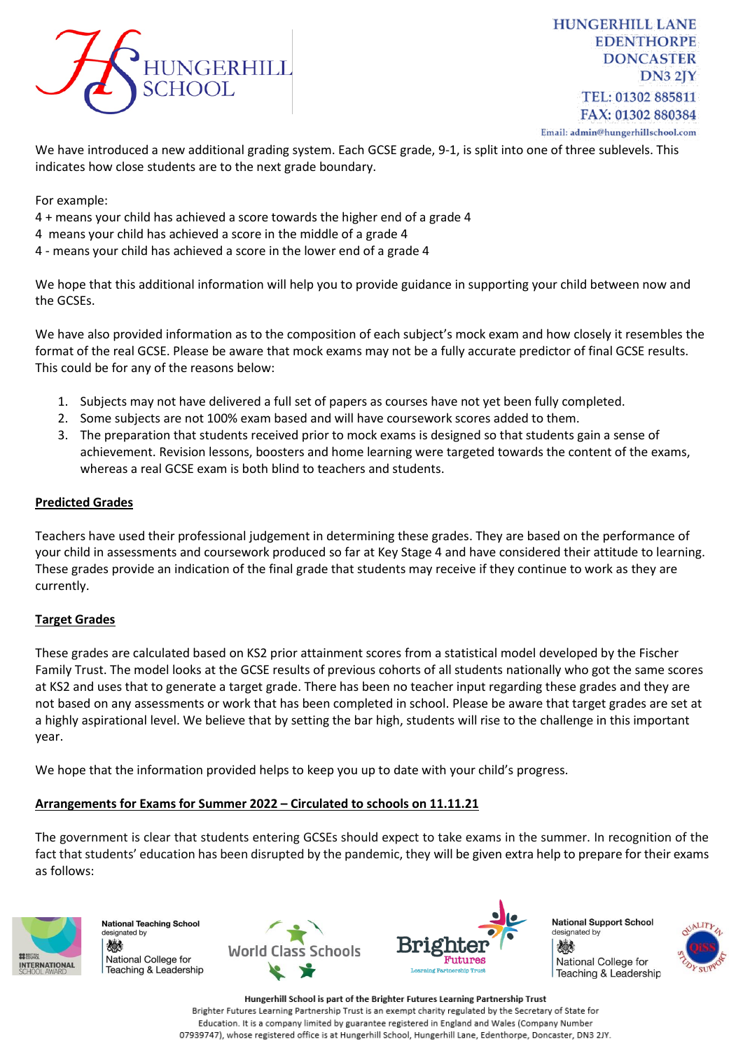

**HUNGERHILL LANE EDENTHORPE DONCASTER**  $DN32IY$ TEL: 01302 885811 FAX: 01302 880384 Email: admin@hungerhillschool.com

We have introduced a new additional grading system. Each GCSE grade, 9-1, is split into one of three sublevels. This indicates how close students are to the next grade boundary.

For example:

- 4 + means your child has achieved a score towards the higher end of a grade 4
- 4 means your child has achieved a score in the middle of a grade 4
- 4 means your child has achieved a score in the lower end of a grade 4

We hope that this additional information will help you to provide guidance in supporting your child between now and the GCSEs.

We have also provided information as to the composition of each subject's mock exam and how closely it resembles the format of the real GCSE. Please be aware that mock exams may not be a fully accurate predictor of final GCSE results. This could be for any of the reasons below:

- 1. Subjects may not have delivered a full set of papers as courses have not yet been fully completed.
- 2. Some subjects are not 100% exam based and will have coursework scores added to them.
- 3. The preparation that students received prior to mock exams is designed so that students gain a sense of achievement. Revision lessons, boosters and home learning were targeted towards the content of the exams, whereas a real GCSE exam is both blind to teachers and students.

## **Predicted Grades**

Teachers have used their professional judgement in determining these grades. They are based on the performance of your child in assessments and coursework produced so far at Key Stage 4 and have considered their attitude to learning. These grades provide an indication of the final grade that students may receive if they continue to work as they are currently.

## **Target Grades**

These grades are calculated based on KS2 prior attainment scores from a statistical model developed by the Fischer Family Trust. The model looks at the GCSE results of previous cohorts of all students nationally who got the same scores at KS2 and uses that to generate a target grade. There has been no teacher input regarding these grades and they are not based on any assessments or work that has been completed in school. Please be aware that target grades are set at a highly aspirational level. We believe that by setting the bar high, students will rise to the challenge in this important year.

We hope that the information provided helps to keep you up to date with your child's progress.

# **Arrangements for Exams for Summer 2022 – Circulated to schools on 11.11.21**

The government is clear that students entering GCSEs should expect to take exams in the summer. In recognition of the fact that students' education has been disrupted by the pandemic, they [will be given extra help to prepare for their exams](https://www.gov.uk/government/consultations/proposed-changes-to-the-assessment-of-gcses-as-and-a-levels-in-2022)  [as follows:](https://www.gov.uk/government/consultations/proposed-changes-to-the-assessment-of-gcses-as-and-a-levels-in-2022)



**National Teaching School** designated by 燃料 National College for Teaching & Leadership





**National Support School** designated by 燃 National College for Teaching & Leadership

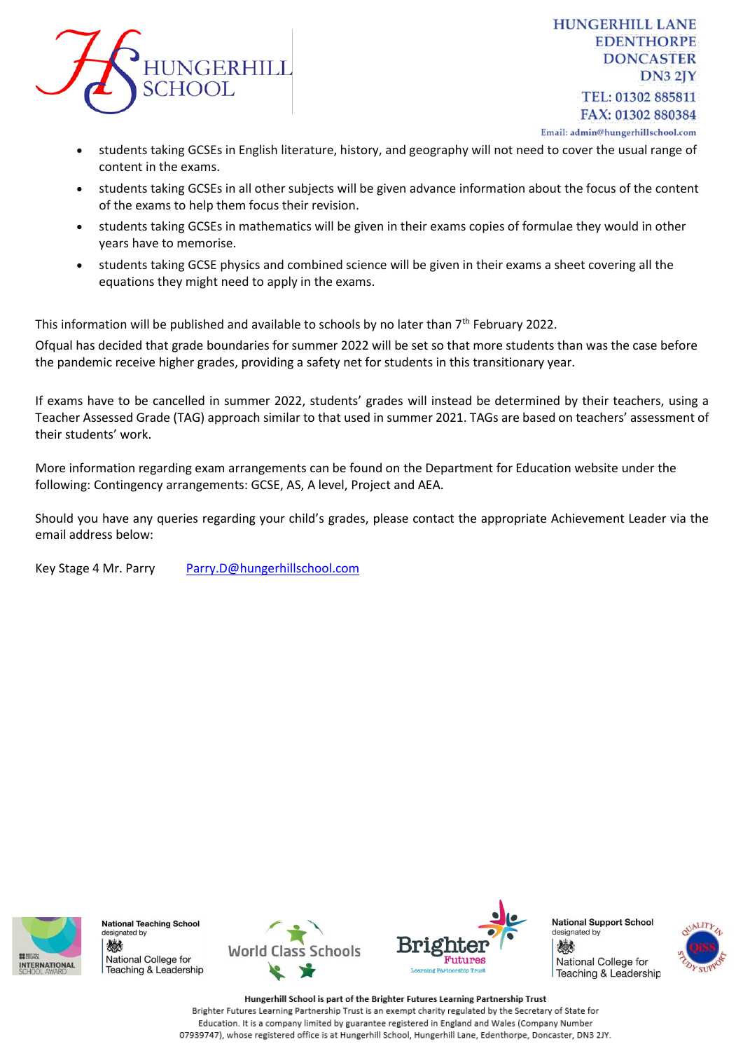

**HUNGERHILL LANE EDENTHORPE DONCASTER**  $DN32IY$ TEL: 01302 885811 FAX: 01302 880384 Email: admin@hungerhillschool.com

- students taking GCSEs in English literature, history, and geography will not need to cover the usual range of content in the exams.
- students taking GCSEs in all other subjects will be given advance information about the focus of the content of the exams to help them focus their revision.
- students taking GCSEs in mathematics will be given in their exams copies of formulae they would in other years have to memorise.
- students taking GCSE physics and combined science will be given in their exams a sheet covering all the equations they might need to apply in the exams.

This information will be published and available to schools by no later than 7<sup>th</sup> February 2022.

Ofqual has decided that [grade boundaries for summer 2022 will be set so that more students than was the case before](https://www.gov.uk/government/speeches/ofquals-approach-to-grading-exams-and-assessments-in-summer-2022-and-autumn-2021)  [the pandemic receive higher grades,](https://www.gov.uk/government/speeches/ofquals-approach-to-grading-exams-and-assessments-in-summer-2022-and-autumn-2021) providing a safety net for students in this transitionary year.

If exams have to be cancelled in summer 2022, students' grades will instead be determined by their teachers, using a Teacher Assessed Grade (TAG) approach similar to that used in summer 2021. TAGs are based on teachers' assessment of their students' work.

More information regarding exam arrangements can be found on the Department for Education website under the following: Contingency arrangements: GCSE, AS, A level, Project and AEA.

Should you have any queries regarding your child's grades, please contact the appropriate Achievement Leader via the email address below:

Key Stage 4 Mr. Parry [Parry.D@hungerhillschool.com](mailto:Parry.D@hungerhillschool.com)



**National Teaching School** designated by 燃料 National College for Teaching & Leadership





**National Support School** designated by 燃 National College for Teaching & Leadership

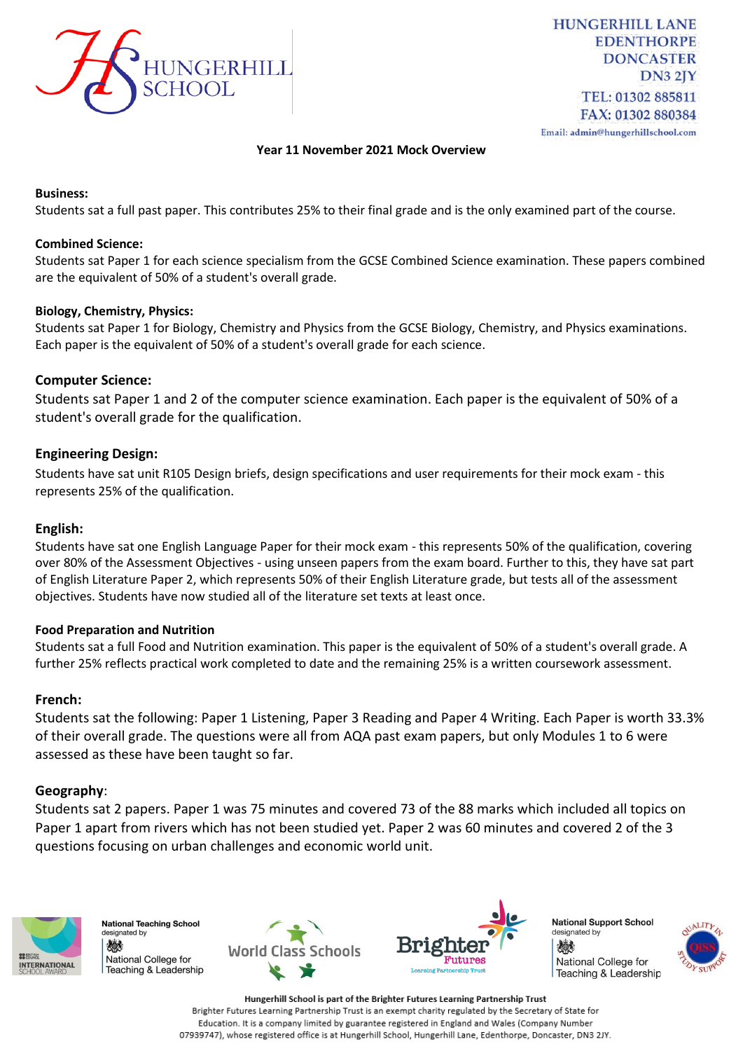

### **Year 11 November 2021 Mock Overview**

#### **Business:**

Students sat a full past paper. This contributes 25% to their final grade and is the only examined part of the course.

#### **Combined Science:**

Students sat Paper 1 for each science specialism from the GCSE Combined Science examination. These papers combined are the equivalent of 50% of a student's overall grade.

#### **Biology, Chemistry, Physics:**

Students sat Paper 1 for Biology, Chemistry and Physics from the GCSE Biology, Chemistry, and Physics examinations. Each paper is the equivalent of 50% of a student's overall grade for each science.

## **Computer Science:**

Students sat Paper 1 and 2 of the computer science examination. Each paper is the equivalent of 50% of a student's overall grade for the qualification.

#### **Engineering Design:**

Students have sat unit R105 Design briefs, design specifications and user requirements for their mock exam - this represents 25% of the qualification.

#### **English:**

Students have sat one English Language Paper for their mock exam - this represents 50% of the qualification, covering over 80% of the Assessment Objectives - using unseen papers from the exam board. Further to this, they have sat part of English Literature Paper 2, which represents 50% of their English Literature grade, but tests all of the assessment objectives. Students have now studied all of the literature set texts at least once.

#### **Food Preparation and Nutrition**

Students sat a full Food and Nutrition examination. This paper is the equivalent of 50% of a student's overall grade. A further 25% reflects practical work completed to date and the remaining 25% is a written coursework assessment.

## **French:**

Students sat the following: Paper 1 Listening, Paper 3 Reading and Paper 4 Writing. Each Paper is worth 33.3% of their overall grade. The questions were all from AQA past exam papers, but only Modules 1 to 6 were assessed as these have been taught so far.

#### **Geography**:

Students sat 2 papers. Paper 1 was 75 minutes and covered 73 of the 88 marks which included all topics on Paper 1 apart from rivers which has not been studied yet. Paper 2 was 60 minutes and covered 2 of the 3 questions focusing on urban challenges and economic world unit.



**National Teaching School** designated by 燃料 National College for Teaching & Leadership





**National Support School** designated by 燃 National College for Teaching & Leadership